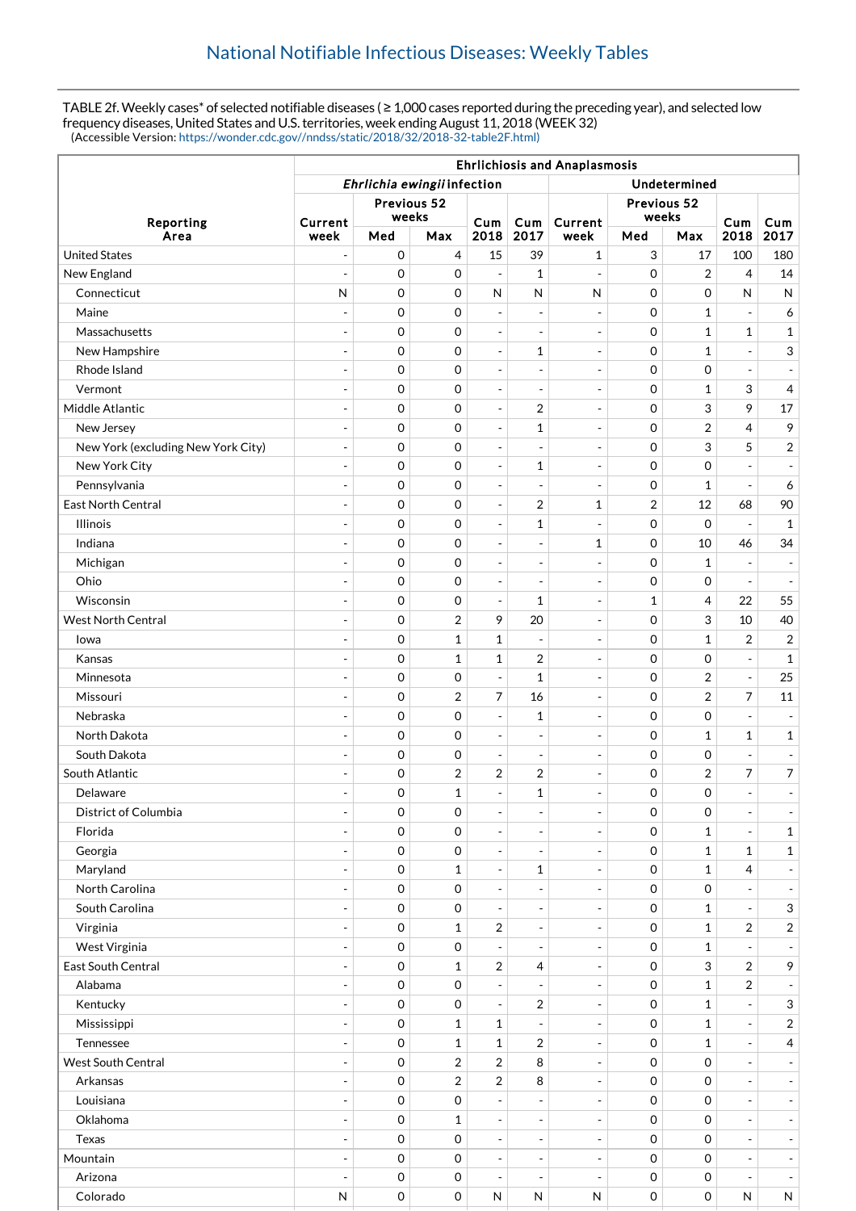TABLE 2f. Weekly cases\* of selected notifiable diseases ( ≥ 1,000 cases reported during the preceding year), and selected low frequency diseases, United States and U.S. territories, week ending August 11, 2018 (WEEK 32) (Accessible Version: [https://wonder.cdc.gov//nndss/static/2018/32/2018-32-table2F.html\)](https://wonder.cdc.gov//nndss/static/2018/32/2018-32-table2F.html)

| Ehrlichia ewingii infection<br>Undetermined<br>Previous 52<br>Previous 52<br>weeks<br>weeks<br>Reporting<br>Cum<br>Cum<br>Cum<br>Current<br>Current<br><b>Cum</b><br>2017<br>2017<br>Area<br>Med<br>2018<br>Med<br>2018<br>week<br>Max<br>week<br>Max<br><b>United States</b><br>$\mathbf 0$<br>15<br>3<br>4<br>39<br>$\mathbf 1$<br>17<br>100<br>180<br>$\overline{a}$<br>$\mathbf 0$<br>2<br>$\overline{4}$<br>14<br>New England<br>0<br>$\mathbf{1}$<br>0<br>$\overline{a}$<br>$\overline{\phantom{a}}$<br>$\overline{\phantom{a}}$<br>N<br>$\mathbf 0$<br>0<br>$\mathbf 0$<br>$\mathsf{N}$<br>Connecticut<br>$\mathsf{N}$<br>$\mathsf{N}$<br>$\mathsf{N}$<br>0<br>${\sf N}$<br>$\mathbf 0$<br>Maine<br>0<br>0<br>$\mathbf{1}$<br>6<br>$\overline{\phantom{a}}$<br>$\overline{a}$<br>$\overline{\phantom{a}}$<br>$\overline{\phantom{a}}$<br>$\overline{\phantom{a}}$<br>$\mathbf 0$<br>$\mathbf{1}$<br>$\mathbf{1}$<br>Massachusetts<br>0<br>0<br>$\mathbf{1}$<br>$\overline{\phantom{a}}$<br>$\overline{\phantom{a}}$<br>$\overline{\phantom{a}}$<br>$\sim$<br>$\mathbf 0$<br>0<br>0<br>3<br>New Hampshire<br>1<br>$\mathbf{1}$<br>$\blacksquare$<br>$\overline{a}$<br>$\overline{\phantom{a}}$<br>$\mathbf 0$<br>0<br>0<br>0<br>Rhode Island<br>$\overline{\phantom{a}}$<br>$\overline{a}$<br>$\overline{\phantom{a}}$<br>$\overline{\phantom{a}}$<br>$\overline{a}$<br>$\overline{\phantom{a}}$<br>$\mathbf 0$<br>3<br>Vermont<br>0<br>0<br>$\mathbf{1}$<br>4<br>$\overline{\phantom{a}}$<br>$\overline{a}$<br>$\overline{\phantom{a}}$<br>Middle Atlantic<br>$\mathbf 0$<br>$\overline{2}$<br>3<br>9<br>$17\,$<br>0<br>0<br>$\overline{\phantom{a}}$<br>÷,<br>$\overline{\phantom{a}}$<br>$\overline{4}$<br>9<br>New Jersey<br>0<br>0<br>1<br>0<br>2<br>$\overline{\phantom{a}}$<br>$\overline{\phantom{a}}$<br>5<br>3<br>$\overline{2}$<br>New York (excluding New York City)<br>$\mathbf 0$<br>0<br>0<br>$\overline{\phantom{a}}$<br>$\overline{\phantom{a}}$<br>$\overline{\phantom{a}}$<br>$\overline{\phantom{a}}$<br>0<br>$\mathbf 0$<br>New York City<br>0<br>1<br>0<br>$\overline{a}$<br>$\overline{\phantom{a}}$<br>$\overline{a}$<br>$\blacksquare$<br>$\overline{\phantom{a}}$<br>$\mathbf 0$<br>Pennsylvania<br>0<br>0<br>$\mathbf{1}$<br>6<br>$\overline{a}$<br>$\overline{\phantom{a}}$<br>$\blacksquare$<br>$\overline{\phantom{a}}$<br>$\overline{\phantom{a}}$<br>East North Central<br>$\mathbf 0$<br>$\overline{2}$<br>90<br>0<br>2<br>12<br>68<br>1<br>$\overline{\phantom{a}}$<br>$\overline{a}$ |
|-------------------------------------------------------------------------------------------------------------------------------------------------------------------------------------------------------------------------------------------------------------------------------------------------------------------------------------------------------------------------------------------------------------------------------------------------------------------------------------------------------------------------------------------------------------------------------------------------------------------------------------------------------------------------------------------------------------------------------------------------------------------------------------------------------------------------------------------------------------------------------------------------------------------------------------------------------------------------------------------------------------------------------------------------------------------------------------------------------------------------------------------------------------------------------------------------------------------------------------------------------------------------------------------------------------------------------------------------------------------------------------------------------------------------------------------------------------------------------------------------------------------------------------------------------------------------------------------------------------------------------------------------------------------------------------------------------------------------------------------------------------------------------------------------------------------------------------------------------------------------------------------------------------------------------------------------------------------------------------------------------------------------------------------------------------------------------------------------------------------------------------------------------------------------------------------------------------------------------------------------------------------------------------------------------------------------------------------------------------------------------------------------------------------------------------------------------------------------------------------------------------------------------|
|                                                                                                                                                                                                                                                                                                                                                                                                                                                                                                                                                                                                                                                                                                                                                                                                                                                                                                                                                                                                                                                                                                                                                                                                                                                                                                                                                                                                                                                                                                                                                                                                                                                                                                                                                                                                                                                                                                                                                                                                                                                                                                                                                                                                                                                                                                                                                                                                                                                                                                                               |
|                                                                                                                                                                                                                                                                                                                                                                                                                                                                                                                                                                                                                                                                                                                                                                                                                                                                                                                                                                                                                                                                                                                                                                                                                                                                                                                                                                                                                                                                                                                                                                                                                                                                                                                                                                                                                                                                                                                                                                                                                                                                                                                                                                                                                                                                                                                                                                                                                                                                                                                               |
|                                                                                                                                                                                                                                                                                                                                                                                                                                                                                                                                                                                                                                                                                                                                                                                                                                                                                                                                                                                                                                                                                                                                                                                                                                                                                                                                                                                                                                                                                                                                                                                                                                                                                                                                                                                                                                                                                                                                                                                                                                                                                                                                                                                                                                                                                                                                                                                                                                                                                                                               |
|                                                                                                                                                                                                                                                                                                                                                                                                                                                                                                                                                                                                                                                                                                                                                                                                                                                                                                                                                                                                                                                                                                                                                                                                                                                                                                                                                                                                                                                                                                                                                                                                                                                                                                                                                                                                                                                                                                                                                                                                                                                                                                                                                                                                                                                                                                                                                                                                                                                                                                                               |
|                                                                                                                                                                                                                                                                                                                                                                                                                                                                                                                                                                                                                                                                                                                                                                                                                                                                                                                                                                                                                                                                                                                                                                                                                                                                                                                                                                                                                                                                                                                                                                                                                                                                                                                                                                                                                                                                                                                                                                                                                                                                                                                                                                                                                                                                                                                                                                                                                                                                                                                               |
|                                                                                                                                                                                                                                                                                                                                                                                                                                                                                                                                                                                                                                                                                                                                                                                                                                                                                                                                                                                                                                                                                                                                                                                                                                                                                                                                                                                                                                                                                                                                                                                                                                                                                                                                                                                                                                                                                                                                                                                                                                                                                                                                                                                                                                                                                                                                                                                                                                                                                                                               |
|                                                                                                                                                                                                                                                                                                                                                                                                                                                                                                                                                                                                                                                                                                                                                                                                                                                                                                                                                                                                                                                                                                                                                                                                                                                                                                                                                                                                                                                                                                                                                                                                                                                                                                                                                                                                                                                                                                                                                                                                                                                                                                                                                                                                                                                                                                                                                                                                                                                                                                                               |
|                                                                                                                                                                                                                                                                                                                                                                                                                                                                                                                                                                                                                                                                                                                                                                                                                                                                                                                                                                                                                                                                                                                                                                                                                                                                                                                                                                                                                                                                                                                                                                                                                                                                                                                                                                                                                                                                                                                                                                                                                                                                                                                                                                                                                                                                                                                                                                                                                                                                                                                               |
|                                                                                                                                                                                                                                                                                                                                                                                                                                                                                                                                                                                                                                                                                                                                                                                                                                                                                                                                                                                                                                                                                                                                                                                                                                                                                                                                                                                                                                                                                                                                                                                                                                                                                                                                                                                                                                                                                                                                                                                                                                                                                                                                                                                                                                                                                                                                                                                                                                                                                                                               |
|                                                                                                                                                                                                                                                                                                                                                                                                                                                                                                                                                                                                                                                                                                                                                                                                                                                                                                                                                                                                                                                                                                                                                                                                                                                                                                                                                                                                                                                                                                                                                                                                                                                                                                                                                                                                                                                                                                                                                                                                                                                                                                                                                                                                                                                                                                                                                                                                                                                                                                                               |
|                                                                                                                                                                                                                                                                                                                                                                                                                                                                                                                                                                                                                                                                                                                                                                                                                                                                                                                                                                                                                                                                                                                                                                                                                                                                                                                                                                                                                                                                                                                                                                                                                                                                                                                                                                                                                                                                                                                                                                                                                                                                                                                                                                                                                                                                                                                                                                                                                                                                                                                               |
|                                                                                                                                                                                                                                                                                                                                                                                                                                                                                                                                                                                                                                                                                                                                                                                                                                                                                                                                                                                                                                                                                                                                                                                                                                                                                                                                                                                                                                                                                                                                                                                                                                                                                                                                                                                                                                                                                                                                                                                                                                                                                                                                                                                                                                                                                                                                                                                                                                                                                                                               |
|                                                                                                                                                                                                                                                                                                                                                                                                                                                                                                                                                                                                                                                                                                                                                                                                                                                                                                                                                                                                                                                                                                                                                                                                                                                                                                                                                                                                                                                                                                                                                                                                                                                                                                                                                                                                                                                                                                                                                                                                                                                                                                                                                                                                                                                                                                                                                                                                                                                                                                                               |
|                                                                                                                                                                                                                                                                                                                                                                                                                                                                                                                                                                                                                                                                                                                                                                                                                                                                                                                                                                                                                                                                                                                                                                                                                                                                                                                                                                                                                                                                                                                                                                                                                                                                                                                                                                                                                                                                                                                                                                                                                                                                                                                                                                                                                                                                                                                                                                                                                                                                                                                               |
|                                                                                                                                                                                                                                                                                                                                                                                                                                                                                                                                                                                                                                                                                                                                                                                                                                                                                                                                                                                                                                                                                                                                                                                                                                                                                                                                                                                                                                                                                                                                                                                                                                                                                                                                                                                                                                                                                                                                                                                                                                                                                                                                                                                                                                                                                                                                                                                                                                                                                                                               |
|                                                                                                                                                                                                                                                                                                                                                                                                                                                                                                                                                                                                                                                                                                                                                                                                                                                                                                                                                                                                                                                                                                                                                                                                                                                                                                                                                                                                                                                                                                                                                                                                                                                                                                                                                                                                                                                                                                                                                                                                                                                                                                                                                                                                                                                                                                                                                                                                                                                                                                                               |
|                                                                                                                                                                                                                                                                                                                                                                                                                                                                                                                                                                                                                                                                                                                                                                                                                                                                                                                                                                                                                                                                                                                                                                                                                                                                                                                                                                                                                                                                                                                                                                                                                                                                                                                                                                                                                                                                                                                                                                                                                                                                                                                                                                                                                                                                                                                                                                                                                                                                                                                               |
| $\mathbf 0$<br><b>Illinois</b>                                                                                                                                                                                                                                                                                                                                                                                                                                                                                                                                                                                                                                                                                                                                                                                                                                                                                                                                                                                                                                                                                                                                                                                                                                                                                                                                                                                                                                                                                                                                                                                                                                                                                                                                                                                                                                                                                                                                                                                                                                                                                                                                                                                                                                                                                                                                                                                                                                                                                                |
| $\mathbf 0$<br>0<br>1<br>0<br>$\mathbf{1}$<br>÷,<br>$\overline{\phantom{a}}$<br>$\overline{\phantom{a}}$                                                                                                                                                                                                                                                                                                                                                                                                                                                                                                                                                                                                                                                                                                                                                                                                                                                                                                                                                                                                                                                                                                                                                                                                                                                                                                                                                                                                                                                                                                                                                                                                                                                                                                                                                                                                                                                                                                                                                                                                                                                                                                                                                                                                                                                                                                                                                                                                                      |
| $\mathbf 0$<br>0<br>10<br>34<br>Indiana<br>1<br>0<br>46<br>$\overline{a}$<br>$\sim$<br>$\overline{\phantom{a}}$                                                                                                                                                                                                                                                                                                                                                                                                                                                                                                                                                                                                                                                                                                                                                                                                                                                                                                                                                                                                                                                                                                                                                                                                                                                                                                                                                                                                                                                                                                                                                                                                                                                                                                                                                                                                                                                                                                                                                                                                                                                                                                                                                                                                                                                                                                                                                                                                               |
| $\mathbf 0$<br>Michigan<br>0<br>0<br>$\mathbf{1}$<br>$\overline{a}$<br>$\overline{\phantom{a}}$<br>$\overline{\phantom{a}}$<br>$\overline{\phantom{a}}$<br>$\overline{\phantom{m}}$                                                                                                                                                                                                                                                                                                                                                                                                                                                                                                                                                                                                                                                                                                                                                                                                                                                                                                                                                                                                                                                                                                                                                                                                                                                                                                                                                                                                                                                                                                                                                                                                                                                                                                                                                                                                                                                                                                                                                                                                                                                                                                                                                                                                                                                                                                                                           |
| Ohio<br>$\mathbf 0$<br>0<br>0<br>$\mathbf 0$<br>$\overline{\phantom{a}}$<br>$\frac{1}{2}$<br>$\overline{\phantom{a}}$<br>$\overline{\phantom{a}}$<br>$\overline{\phantom{a}}$<br>$\sim$                                                                                                                                                                                                                                                                                                                                                                                                                                                                                                                                                                                                                                                                                                                                                                                                                                                                                                                                                                                                                                                                                                                                                                                                                                                                                                                                                                                                                                                                                                                                                                                                                                                                                                                                                                                                                                                                                                                                                                                                                                                                                                                                                                                                                                                                                                                                       |
| Wisconsin<br>$\mathbf 0$<br>4<br>55<br>0<br>1<br>1<br>22<br>$\overline{\phantom{a}}$<br>$\overline{\phantom{a}}$                                                                                                                                                                                                                                                                                                                                                                                                                                                                                                                                                                                                                                                                                                                                                                                                                                                                                                                                                                                                                                                                                                                                                                                                                                                                                                                                                                                                                                                                                                                                                                                                                                                                                                                                                                                                                                                                                                                                                                                                                                                                                                                                                                                                                                                                                                                                                                                                              |
| $\mathbf 0$<br>2<br>9<br>20<br>0<br>3<br>10<br>40<br><b>West North Central</b><br>÷,<br>$\overline{\phantom{a}}$                                                                                                                                                                                                                                                                                                                                                                                                                                                                                                                                                                                                                                                                                                                                                                                                                                                                                                                                                                                                                                                                                                                                                                                                                                                                                                                                                                                                                                                                                                                                                                                                                                                                                                                                                                                                                                                                                                                                                                                                                                                                                                                                                                                                                                                                                                                                                                                                              |
| $\mathbf 0$<br>$\mathbf 1$<br>$\mathbf 1$<br>$\overline{2}$<br>0<br>$\mathbf{1}$<br>$\overline{2}$<br>lowa<br>$\overline{\phantom{a}}$                                                                                                                                                                                                                                                                                                                                                                                                                                                                                                                                                                                                                                                                                                                                                                                                                                                                                                                                                                                                                                                                                                                                                                                                                                                                                                                                                                                                                                                                                                                                                                                                                                                                                                                                                                                                                                                                                                                                                                                                                                                                                                                                                                                                                                                                                                                                                                                        |
| 2<br>$\mathbf 0$<br>$\mathbf{1}$<br>1<br>0<br>$\mathbf 0$<br>$\mathbf{1}$<br>Kansas<br>$\overline{\phantom{a}}$<br>$\overline{a}$<br>$\overline{\phantom{a}}$                                                                                                                                                                                                                                                                                                                                                                                                                                                                                                                                                                                                                                                                                                                                                                                                                                                                                                                                                                                                                                                                                                                                                                                                                                                                                                                                                                                                                                                                                                                                                                                                                                                                                                                                                                                                                                                                                                                                                                                                                                                                                                                                                                                                                                                                                                                                                                 |
| 25<br>Minnesota<br>0<br>0<br>1<br>0<br>2<br>$\blacksquare$<br>$\overline{\phantom{a}}$<br>$\overline{a}$<br>$\blacksquare$                                                                                                                                                                                                                                                                                                                                                                                                                                                                                                                                                                                                                                                                                                                                                                                                                                                                                                                                                                                                                                                                                                                                                                                                                                                                                                                                                                                                                                                                                                                                                                                                                                                                                                                                                                                                                                                                                                                                                                                                                                                                                                                                                                                                                                                                                                                                                                                                    |
| $\overline{7}$<br>$\overline{7}$<br>$\mathbf 0$<br>2<br>0<br>$\overline{2}$<br>11<br>Missouri<br>16<br>$\overline{a}$<br>$\overline{\phantom{a}}$                                                                                                                                                                                                                                                                                                                                                                                                                                                                                                                                                                                                                                                                                                                                                                                                                                                                                                                                                                                                                                                                                                                                                                                                                                                                                                                                                                                                                                                                                                                                                                                                                                                                                                                                                                                                                                                                                                                                                                                                                                                                                                                                                                                                                                                                                                                                                                             |
| $\mathbf 0$<br>0<br>$\mathbf 0$<br>Nebraska<br>1<br>0<br>$\overline{\phantom{a}}$<br>$\overline{a}$<br>$\overline{\phantom{a}}$<br>$\overline{\phantom{a}}$<br>$\overline{a}$                                                                                                                                                                                                                                                                                                                                                                                                                                                                                                                                                                                                                                                                                                                                                                                                                                                                                                                                                                                                                                                                                                                                                                                                                                                                                                                                                                                                                                                                                                                                                                                                                                                                                                                                                                                                                                                                                                                                                                                                                                                                                                                                                                                                                                                                                                                                                 |
| $\mathbf 0$<br>$\mathbf{1}$<br>North Dakota<br>0<br>0<br>$\mathbf{1}$<br>$\mathbf{1}$<br>$\overline{\phantom{m}}$<br>$\overline{\phantom{a}}$<br>$\overline{\phantom{a}}$<br>$\overline{\phantom{a}}$                                                                                                                                                                                                                                                                                                                                                                                                                                                                                                                                                                                                                                                                                                                                                                                                                                                                                                                                                                                                                                                                                                                                                                                                                                                                                                                                                                                                                                                                                                                                                                                                                                                                                                                                                                                                                                                                                                                                                                                                                                                                                                                                                                                                                                                                                                                         |
| South Dakota<br>0<br>0<br>$\mathbf 0$<br>0<br>$\overline{a}$<br>$\overline{\phantom{a}}$<br>$\sim$<br>$\overline{\phantom{a}}$<br>$\overline{\phantom{a}}$<br>$\overline{\phantom{a}}$                                                                                                                                                                                                                                                                                                                                                                                                                                                                                                                                                                                                                                                                                                                                                                                                                                                                                                                                                                                                                                                                                                                                                                                                                                                                                                                                                                                                                                                                                                                                                                                                                                                                                                                                                                                                                                                                                                                                                                                                                                                                                                                                                                                                                                                                                                                                        |
| $\mathbf 0$<br>$\boldsymbol{2}$<br>2<br>$\overline{2}$<br>7<br>$\overline{7}$<br>South Atlantic<br>2<br>0<br>$\overline{a}$<br>$\overline{\phantom{a}}$                                                                                                                                                                                                                                                                                                                                                                                                                                                                                                                                                                                                                                                                                                                                                                                                                                                                                                                                                                                                                                                                                                                                                                                                                                                                                                                                                                                                                                                                                                                                                                                                                                                                                                                                                                                                                                                                                                                                                                                                                                                                                                                                                                                                                                                                                                                                                                       |
| $\mathbf 0$<br>$\mathbf{1}$<br>$\mathbf{1}$<br>0<br>0<br>Delaware<br>$\equiv$<br>$\overline{\phantom{a}}$<br>$\overline{\phantom{a}}$<br>$\blacksquare$<br>$\blacksquare$                                                                                                                                                                                                                                                                                                                                                                                                                                                                                                                                                                                                                                                                                                                                                                                                                                                                                                                                                                                                                                                                                                                                                                                                                                                                                                                                                                                                                                                                                                                                                                                                                                                                                                                                                                                                                                                                                                                                                                                                                                                                                                                                                                                                                                                                                                                                                     |
| District of Columbia<br>$\mathbf 0$<br>0<br>0<br>$\mathbf 0$<br>$\blacksquare$<br>$\overline{\phantom{a}}$<br>$\overline{\phantom{a}}$<br>$\overline{\phantom{a}}$<br>$\overline{\phantom{a}}$<br>$\overline{\phantom{a}}$                                                                                                                                                                                                                                                                                                                                                                                                                                                                                                                                                                                                                                                                                                                                                                                                                                                                                                                                                                                                                                                                                                                                                                                                                                                                                                                                                                                                                                                                                                                                                                                                                                                                                                                                                                                                                                                                                                                                                                                                                                                                                                                                                                                                                                                                                                    |
| Florida<br>$\mathbf 0$<br>$\mathbf{1}$<br>0<br>0<br>$\mathbf{1}$<br>$\overline{\phantom{a}}$<br>$\overline{\phantom{a}}$<br>$\overline{\phantom{a}}$<br>$\overline{\phantom{a}}$<br>$\overline{\phantom{a}}$                                                                                                                                                                                                                                                                                                                                                                                                                                                                                                                                                                                                                                                                                                                                                                                                                                                                                                                                                                                                                                                                                                                                                                                                                                                                                                                                                                                                                                                                                                                                                                                                                                                                                                                                                                                                                                                                                                                                                                                                                                                                                                                                                                                                                                                                                                                  |
| 0<br>Georgia<br>0<br>0<br>$\mathbf{1}$<br>$\mathbf{1}$<br>$\mathbf{1}$<br>$\overline{\phantom{a}}$<br>$\overline{\phantom{a}}$                                                                                                                                                                                                                                                                                                                                                                                                                                                                                                                                                                                                                                                                                                                                                                                                                                                                                                                                                                                                                                                                                                                                                                                                                                                                                                                                                                                                                                                                                                                                                                                                                                                                                                                                                                                                                                                                                                                                                                                                                                                                                                                                                                                                                                                                                                                                                                                                |
| Maryland<br>$\mathbf 0$<br>$\mathbf{1}$<br>$\mathbf{1}$<br>$\mathbf{1}$<br>$\overline{4}$<br>0<br>$\overline{\phantom{a}}$<br>$\overline{\phantom{a}}$<br>÷,<br>$\overline{\phantom{a}}$                                                                                                                                                                                                                                                                                                                                                                                                                                                                                                                                                                                                                                                                                                                                                                                                                                                                                                                                                                                                                                                                                                                                                                                                                                                                                                                                                                                                                                                                                                                                                                                                                                                                                                                                                                                                                                                                                                                                                                                                                                                                                                                                                                                                                                                                                                                                      |
| North Carolina<br>0<br>0<br>0<br>0<br>$\overline{\phantom{a}}$<br>$\overline{\phantom{a}}$<br>$\overline{\phantom{a}}$<br>$\overline{\phantom{a}}$<br>$\overline{\phantom{a}}$                                                                                                                                                                                                                                                                                                                                                                                                                                                                                                                                                                                                                                                                                                                                                                                                                                                                                                                                                                                                                                                                                                                                                                                                                                                                                                                                                                                                                                                                                                                                                                                                                                                                                                                                                                                                                                                                                                                                                                                                                                                                                                                                                                                                                                                                                                                                                |
| South Carolina<br>$\mathbf 0$<br>$\mathfrak{S}$<br>0<br>0<br>$\mathbf{1}$<br>$\overline{a}$<br>$\overline{\phantom{a}}$<br>$\overline{\phantom{a}}$<br>$\qquad \qquad \blacksquare$<br>$\overline{\phantom{a}}$                                                                                                                                                                                                                                                                                                                                                                                                                                                                                                                                                                                                                                                                                                                                                                                                                                                                                                                                                                                                                                                                                                                                                                                                                                                                                                                                                                                                                                                                                                                                                                                                                                                                                                                                                                                                                                                                                                                                                                                                                                                                                                                                                                                                                                                                                                               |
| Virginia<br>0<br>$\overline{2}$<br>$\overline{2}$<br>$\overline{2}$<br>$\mathbf{1}$<br>0<br>$\mathbf{1}$<br>$\overline{a}$<br>$\overline{\phantom{a}}$<br>÷,                                                                                                                                                                                                                                                                                                                                                                                                                                                                                                                                                                                                                                                                                                                                                                                                                                                                                                                                                                                                                                                                                                                                                                                                                                                                                                                                                                                                                                                                                                                                                                                                                                                                                                                                                                                                                                                                                                                                                                                                                                                                                                                                                                                                                                                                                                                                                                  |
| West Virginia<br>$\mathbf 0$<br>0<br>0<br>$\mathbf{1}$<br>$\overline{a}$<br>$\overline{\phantom{a}}$<br>$\overline{\phantom{a}}$<br>$\overline{\phantom{a}}$                                                                                                                                                                                                                                                                                                                                                                                                                                                                                                                                                                                                                                                                                                                                                                                                                                                                                                                                                                                                                                                                                                                                                                                                                                                                                                                                                                                                                                                                                                                                                                                                                                                                                                                                                                                                                                                                                                                                                                                                                                                                                                                                                                                                                                                                                                                                                                  |
| $\overline{2}$<br>3<br>$\overline{2}$<br>9<br>East South Central<br>0<br>$\mathbf{1}$<br>4<br>0<br>$\overline{\phantom{a}}$<br>$\overline{\phantom{a}}$                                                                                                                                                                                                                                                                                                                                                                                                                                                                                                                                                                                                                                                                                                                                                                                                                                                                                                                                                                                                                                                                                                                                                                                                                                                                                                                                                                                                                                                                                                                                                                                                                                                                                                                                                                                                                                                                                                                                                                                                                                                                                                                                                                                                                                                                                                                                                                       |
| Alabama<br>0<br>0<br>$\mathbf{1}$<br>$\overline{2}$<br>0<br>$\overline{\phantom{a}}$<br>$\overline{a}$<br>$\overline{\phantom{a}}$<br>$\overline{\phantom{a}}$<br>$\overline{\phantom{a}}$                                                                                                                                                                                                                                                                                                                                                                                                                                                                                                                                                                                                                                                                                                                                                                                                                                                                                                                                                                                                                                                                                                                                                                                                                                                                                                                                                                                                                                                                                                                                                                                                                                                                                                                                                                                                                                                                                                                                                                                                                                                                                                                                                                                                                                                                                                                                    |
| 2<br>$\mathfrak{S}$<br>Kentucky<br>0<br>0<br>0<br>$\mathbf{1}$<br>$\equiv$<br>$\blacksquare$<br>$\overline{\phantom{a}}$<br>$\sim$                                                                                                                                                                                                                                                                                                                                                                                                                                                                                                                                                                                                                                                                                                                                                                                                                                                                                                                                                                                                                                                                                                                                                                                                                                                                                                                                                                                                                                                                                                                                                                                                                                                                                                                                                                                                                                                                                                                                                                                                                                                                                                                                                                                                                                                                                                                                                                                            |
| 0<br>0<br>$\overline{2}$<br>Mississippi<br>$\mathbf{1}$<br>$\mathbf{1}$<br>1<br>$\overline{\phantom{a}}$<br>$\overline{\phantom{a}}$                                                                                                                                                                                                                                                                                                                                                                                                                                                                                                                                                                                                                                                                                                                                                                                                                                                                                                                                                                                                                                                                                                                                                                                                                                                                                                                                                                                                                                                                                                                                                                                                                                                                                                                                                                                                                                                                                                                                                                                                                                                                                                                                                                                                                                                                                                                                                                                          |
| $\boldsymbol{2}$<br>0<br>$\mathbf 1$<br>$\mathbf 1$<br>0<br>$\mathbf 1$<br>$\overline{4}$<br>Tennessee<br>$\overline{a}$<br>$\overline{\phantom{a}}$<br>$\overline{\phantom{a}}$                                                                                                                                                                                                                                                                                                                                                                                                                                                                                                                                                                                                                                                                                                                                                                                                                                                                                                                                                                                                                                                                                                                                                                                                                                                                                                                                                                                                                                                                                                                                                                                                                                                                                                                                                                                                                                                                                                                                                                                                                                                                                                                                                                                                                                                                                                                                              |
| West South Central<br>0<br>$\overline{\mathbf{c}}$<br>2<br>8<br>0<br>0<br>$\overline{a}$<br>$\overline{\phantom{a}}$<br>$\overline{\phantom{a}}$                                                                                                                                                                                                                                                                                                                                                                                                                                                                                                                                                                                                                                                                                                                                                                                                                                                                                                                                                                                                                                                                                                                                                                                                                                                                                                                                                                                                                                                                                                                                                                                                                                                                                                                                                                                                                                                                                                                                                                                                                                                                                                                                                                                                                                                                                                                                                                              |
| $\mathbf 0$<br>2<br>$\sqrt{2}$<br>8<br>Arkansas<br>0<br>0<br>$\overline{\phantom{a}}$<br>$\overline{\phantom{a}}$<br>÷,<br>$\overline{\phantom{a}}$                                                                                                                                                                                                                                                                                                                                                                                                                                                                                                                                                                                                                                                                                                                                                                                                                                                                                                                                                                                                                                                                                                                                                                                                                                                                                                                                                                                                                                                                                                                                                                                                                                                                                                                                                                                                                                                                                                                                                                                                                                                                                                                                                                                                                                                                                                                                                                           |
| Louisiana<br>0<br>0<br>0<br>$\mathbf 0$<br>$\equiv$<br>$\overline{a}$<br>$\overline{\phantom{a}}$<br>$\blacksquare$<br>$\blacksquare$                                                                                                                                                                                                                                                                                                                                                                                                                                                                                                                                                                                                                                                                                                                                                                                                                                                                                                                                                                                                                                                                                                                                                                                                                                                                                                                                                                                                                                                                                                                                                                                                                                                                                                                                                                                                                                                                                                                                                                                                                                                                                                                                                                                                                                                                                                                                                                                         |
| Oklahoma<br>$\mathbf 0$<br>0<br>$\mathbf{1}$<br>$\mathbf 0$<br>$\overline{\phantom{a}}$<br>$\overline{a}$<br>$\overline{\phantom{a}}$<br>$\overline{\phantom{a}}$<br>$\overline{\phantom{a}}$<br>$\overline{\phantom{a}}$                                                                                                                                                                                                                                                                                                                                                                                                                                                                                                                                                                                                                                                                                                                                                                                                                                                                                                                                                                                                                                                                                                                                                                                                                                                                                                                                                                                                                                                                                                                                                                                                                                                                                                                                                                                                                                                                                                                                                                                                                                                                                                                                                                                                                                                                                                     |
| 0<br>0<br>Texas<br>0<br>0<br>$\overline{\phantom{a}}$<br>$\overline{a}$<br>$\overline{\phantom{a}}$<br>$\sim$<br>$\overline{\phantom{a}}$<br>$\overline{\phantom{a}}$                                                                                                                                                                                                                                                                                                                                                                                                                                                                                                                                                                                                                                                                                                                                                                                                                                                                                                                                                                                                                                                                                                                                                                                                                                                                                                                                                                                                                                                                                                                                                                                                                                                                                                                                                                                                                                                                                                                                                                                                                                                                                                                                                                                                                                                                                                                                                         |
| $\mathbf 0$<br>Mountain<br>$\mathbf 0$<br>0<br>$\mathbf 0$<br>$\blacksquare$<br>$\overline{\phantom{a}}$<br>$\overline{\phantom{a}}$<br>$\overline{\phantom{a}}$<br>$\overline{\phantom{a}}$<br>$\overline{\phantom{a}}$                                                                                                                                                                                                                                                                                                                                                                                                                                                                                                                                                                                                                                                                                                                                                                                                                                                                                                                                                                                                                                                                                                                                                                                                                                                                                                                                                                                                                                                                                                                                                                                                                                                                                                                                                                                                                                                                                                                                                                                                                                                                                                                                                                                                                                                                                                      |
| Arizona<br>0<br>0<br>0<br>$\mathbf 0$<br>$\overline{\phantom{a}}$<br>$\overline{\phantom{a}}$<br>$\sim$<br>$\overline{\phantom{a}}$<br>$\overline{\phantom{a}}$<br>$\overline{\phantom{a}}$                                                                                                                                                                                                                                                                                                                                                                                                                                                                                                                                                                                                                                                                                                                                                                                                                                                                                                                                                                                                                                                                                                                                                                                                                                                                                                                                                                                                                                                                                                                                                                                                                                                                                                                                                                                                                                                                                                                                                                                                                                                                                                                                                                                                                                                                                                                                   |
| 0<br>0<br>Colorado<br>N<br>${\sf N}$<br>0<br>$\mathbf 0$<br>N<br>N<br>N<br>N                                                                                                                                                                                                                                                                                                                                                                                                                                                                                                                                                                                                                                                                                                                                                                                                                                                                                                                                                                                                                                                                                                                                                                                                                                                                                                                                                                                                                                                                                                                                                                                                                                                                                                                                                                                                                                                                                                                                                                                                                                                                                                                                                                                                                                                                                                                                                                                                                                                  |